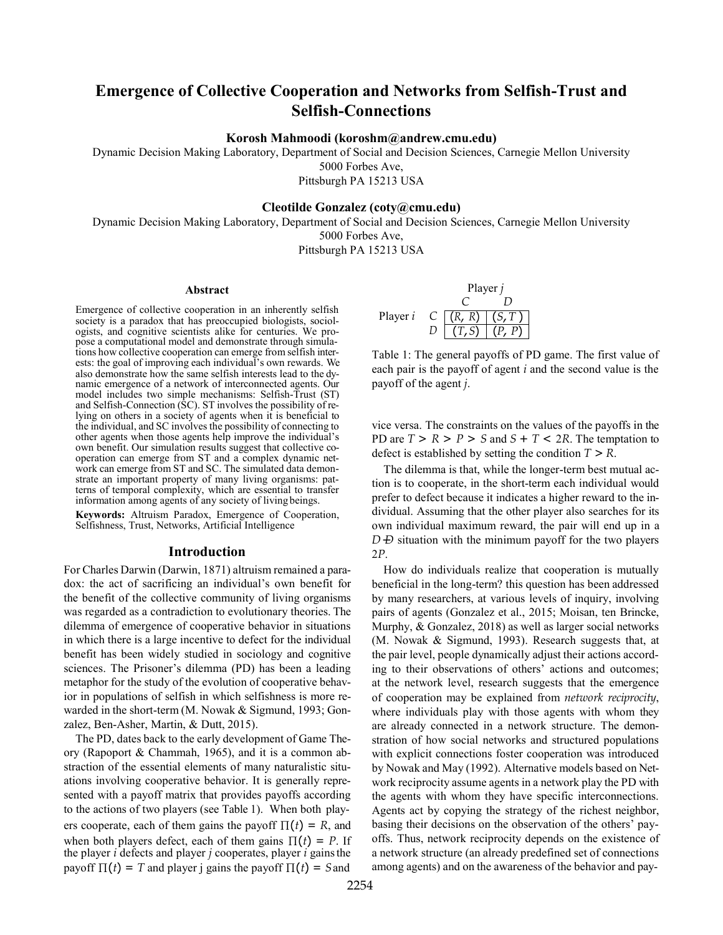# **Emergence of Collective Cooperation and Networks from Selfish-Trust and Selfish-Connections**

**Korosh Mahmoodi (koroshm@andrew.cmu.edu)**

Dynamic Decision Making Laboratory, Department of Social and Decision Sciences, Carnegie Mellon University

5000 Forbes Ave, Pittsburgh PA 15213 USA

# **Cleotilde Gonzalez (coty@cmu.edu)**

Dynamic Decision Making Laboratory, Department of Social and Decision Sciences, Carnegie Mellon University 5000 Forbes Ave,

Pittsburgh PA 15213 USA

### **Abstract**

Emergence of collective cooperation in an inherently selfish society is a paradox that has preoccupied biologists, sociologists, and cognitive scientists alike for centuries. We pro-<br>pose a computational model and demonstrate through simulations how collective cooperation can emerge from selfish interests: the goal of improving each individual's own rewards. We namic emergence of a network of interconnected agents. Our model includes two simple mechanisms: Selfish-Trust (ST) and Selfish-Connection (SC). ST involves the possibility of relying on others in a society of agents when it is beneficial to the individual, and SC involves the possibility of connecting to other agents when those agents help improve the individual's operation can emerge from ST and a complex dynamic net-<br>work can emerge from ST and SC. The simulated data demonstrate an important property of many living organisms: patterns of temporal complexity, which are essential to transfer information among agents of any society of living beings.

**Keywords:** Altruism Paradox, Emergence of Cooperation, Selfishness, Trust, Networks, Artificial Intelligence

# **Introduction**

For Charles Darwin (Darwin, 1871) altruism remained a paradox: the act of sacrificing an individual's own benefit for the benefit of the collective community of living organisms was regarded as a contradiction to evolutionary theories. The dilemma of emergence of cooperative behavior in situations in which there is a large incentive to defect for the individual benefit has been widely studied in sociology and cognitive sciences. The Prisoner's dilemma (PD) has been a leading metaphor for the study of the evolution of cooperative behavior in populations of selfish in which selfishness is more rewarded in the short-term (M. Nowak & Sigmund, 1993; Gonzalez, Ben-Asher, Martin, & Dutt, 2015).

The PD, dates back to the early development of Game Theory (Rapoport & Chammah, 1965), and it is a common abstraction of the essential elements of many naturalistic situations involving cooperative behavior. It is generally represented with a payoff matrix that provides payoffs according to the actions of two players (see Table 1). When both players cooperate, each of them gains the payoff  $\Pi(t) = R$ , and when both players defect, each of them gains  $\Pi(t) = P$ . If the player *i* defects and player *j* cooperates, player *i* gainsthe payoff  $\Pi(t) = T$  and player j gains the payoff  $\Pi(t) = S$  and

Player *j*  
\nPlayer *i* C 
$$
\begin{array}{c|c}\n C & D \\
\hline\n (R, R) & (S, T) \\
D & (T, S) & (P, P)\n \end{array}
$$

Table 1: The general payoffs of PD game. The first value of each pair is the payoff of agent *i* and the second value is the payoff of the agent *j*.

vice versa. The constraints on the values of the payoffs in the PD are  $T > R > P > S$  and  $S + T < 2R$ . The temptation to defect is established by setting the condition *T > R*.

*D*  $\overline{D}$  situation with the minimum payoff for the two players The dilemma is that, while the longer-term best mutual action is to cooperate, in the short-term each individual would prefer to defect because it indicates a higher reward to the individual. Assuming that the other player also searches for its own individual maximum reward, the pair will end up in a 2*P*.

How do individuals realize that cooperation is mutually beneficial in the long-term? this question has been addressed by many researchers, at various levels of inquiry, involving pairs of agents (Gonzalez et al., 2015; Moisan, ten Brincke, Murphy, & Gonzalez, 2018) as well as larger social networks (M. Nowak & Sigmund, 1993). Research suggests that, at the pair level, people dynamically adjust their actions according to their observations of others' actions and outcomes; at the network level, research suggests that the emergence of cooperation may be explained from *network reciprocity*, where individuals play with those agents with whom they are already connected in a network structure. The demonstration of how social networks and structured populations with explicit connections foster cooperation was introduced by Nowak and May (1992). Alternative models based on Network reciprocity assume agents in a network play the PD with the agents with whom they have specific interconnections. Agents act by copying the strategy of the richest neighbor, basing their decisions on the observation of the others' payoffs. Thus, network reciprocity depends on the existence of a network structure (an already predefined set of connections among agents) and on the awareness of the behavior and pay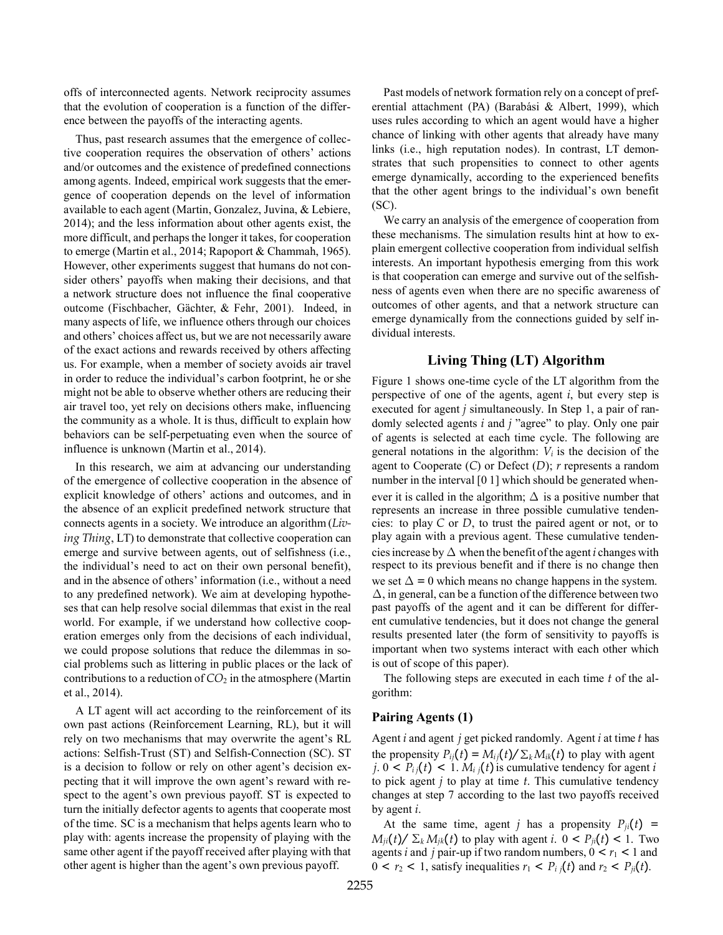offs of interconnected agents. Network reciprocity assumes that the evolution of cooperation is a function of the difference between the payoffs of the interacting agents.

Thus, past research assumes that the emergence of collective cooperation requires the observation of others' actions and/or outcomes and the existence of predefined connections among agents. Indeed, empirical work suggests that the emergence of cooperation depends on the level of information available to each agent (Martin, Gonzalez, Juvina, & Lebiere, 2014); and the less information about other agents exist, the more difficult, and perhaps the longer it takes, for cooperation to emerge (Martin et al., 2014; Rapoport & Chammah, 1965). However, other experiments suggest that humans do not consider others' payoffs when making their decisions, and that a network structure does not influence the final cooperative outcome (Fischbacher, Gächter, & Fehr, 2001). Indeed, in many aspects of life, we influence others through our choices and others' choices affect us, but we are not necessarily aware of the exact actions and rewards received by others affecting us. For example, when a member of society avoids air travel in order to reduce the individual's carbon footprint, he or she might not be able to observe whether others are reducing their air travel too, yet rely on decisions others make, influencing the community as a whole. It is thus, difficult to explain how behaviors can be self-perpetuating even when the source of influence is unknown (Martin et al., 2014).

In this research, we aim at advancing our understanding of the emergence of collective cooperation in the absence of explicit knowledge of others' actions and outcomes, and in the absence of an explicit predefined network structure that connects agents in a society. We introduce an algorithm (*Living Thing*, LT) to demonstrate that collective cooperation can emerge and survive between agents, out of selfishness (i.e., the individual's need to act on their own personal benefit), and in the absence of others' information (i.e., without a need to any predefined network). We aim at developing hypotheses that can help resolve social dilemmas that exist in the real world. For example, if we understand how collective cooperation emerges only from the decisions of each individual, we could propose solutions that reduce the dilemmas in social problems such as littering in public places or the lack of contributions to a reduction of *CO*<sup>2</sup> in the atmosphere (Martin et al., 2014).

A LT agent will act according to the reinforcement of its own past actions (Reinforcement Learning, RL), but it will rely on two mechanisms that may overwrite the agent's RL actions: Selfish-Trust (ST) and Selfish-Connection (SC). ST is a decision to follow or rely on other agent's decision expecting that it will improve the own agent's reward with respect to the agent's own previous payoff. ST is expected to turn the initially defector agents to agents that cooperate most of the time. SC is a mechanism that helps agents learn who to play with: agents increase the propensity of playing with the same other agent if the payoff received after playing with that other agent is higher than the agent's own previous payoff.

Past models of network formation rely on a concept of preferential attachment (PA) (Barabási & Albert, 1999), which uses rules according to which an agent would have a higher chance of linking with other agents that already have many links (i.e., high reputation nodes). In contrast, LT demonstrates that such propensities to connect to other agents emerge dynamically, according to the experienced benefits that the other agent brings to the individual's own benefit (SC).

We carry an analysis of the emergence of cooperation from these mechanisms. The simulation results hint at how to explain emergent collective cooperation from individual selfish interests. An important hypothesis emerging from this work is that cooperation can emerge and survive out of the selfishness of agents even when there are no specific awareness of outcomes of other agents, and that a network structure can emerge dynamically from the connections guided by self individual interests.

# **Living Thing (LT) Algorithm**

Figure 1 shows one-time cycle of the LT algorithm from the perspective of one of the agents, agent *i*, but every step is executed for agent *j* simultaneously. In Step 1, a pair of randomly selected agents *i* and *j* "agree" to play. Only one pair of agents is selected at each time cycle. The following are general notations in the algorithm: *Vi* is the decision of the agent to Cooperate (*C*) or Defect (*D*); *r* represents a random number in the interval [0 1] which should be generated whenever it is called in the algorithm;  $\Delta$  is a positive number that represents an increase in three possible cumulative tendencies: to play *C* or *D*, to trust the paired agent or not, or to play again with a previous agent. These cumulative tendencies increase by  $\Delta$  when the benefit of the agent *i* changes with respect to its previous benefit and if there is no change then we set  $\Delta = 0$  which means no change happens in the system.  $\Delta$ , in general, can be a function of the difference between two past payoffs of the agent and it can be different for different cumulative tendencies, but it does not change the general results presented later (the form of sensitivity to payoffs is important when two systems interact with each other which is out of scope of this paper).

The following steps are executed in each time *t* of the algorithm:

### **Pairing Agents (1)**

Agent *i* and agent *j* get picked randomly. Agent *i* at time *t* has the propensity  $P_{ii}(t) = M_{ii}(t)/\sum_k M_{ik}(t)$  to play with agent  $j. 0 < P_{ij}(t) < 1. M_{ij}(t)$  is cumulative tendency for agent *i* to pick agent *j* to play at time *t*. This cumulative tendency changes at step 7 according to the last two payoffs received by agent *i*.

At the same time, agent *j* has a propensity  $P_{ji}(t)$  =  $M_{ii}(t)$  /  $\Sigma_k M_{ik}(t)$  to play with agent *i*.  $0 < P_{ii}(t) < 1$ . Two agents *i* and *j* pair-up if two random numbers,  $0 < r_1 < 1$  and  $0 < r_2 < 1$ , satisfy inequalities  $r_1 < P_i$  *j*(*t*) and  $r_2 < P_i$  *j*(*t*).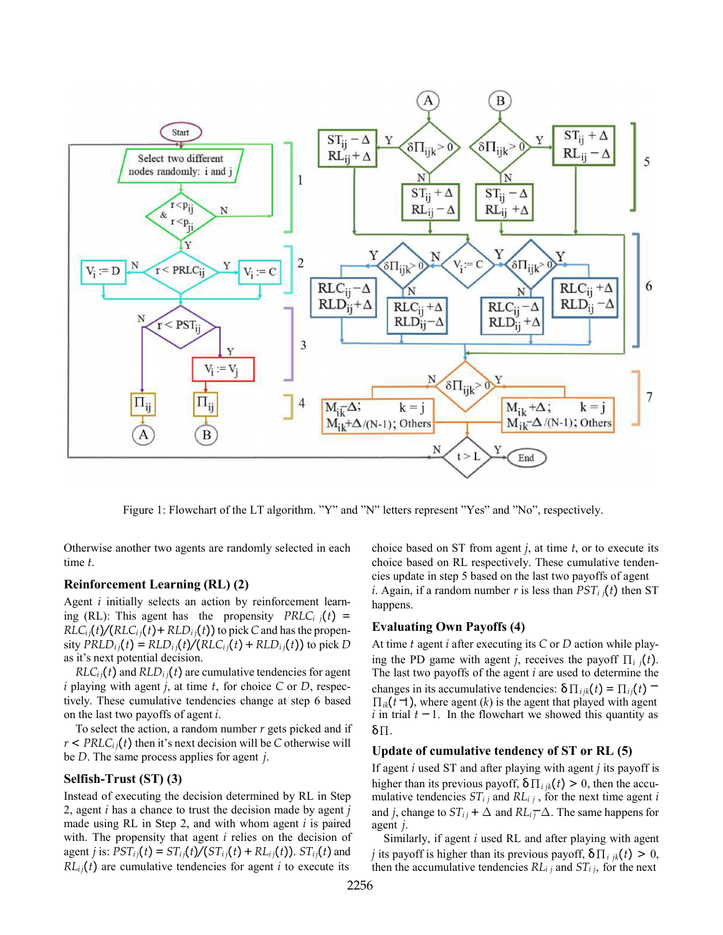

Figure 1: Flowchart of the LT algorithm. "Y" and "N" letters represent "Yes" and "No", respectively.

Otherwise another two agents are randomly selected in each time *t*.

### **Reinforcement Learning (RL) (2)**

Agent *i* initially selects an action by reinforcement learning (RL): This agent has the propensity  $PRLC_i$  *j*(*t*) =  $RLC<sub>i</sub>(t)/(RLC<sub>i</sub>(t)+RLD<sub>i</sub>(t))$  to pick *C* and has the propen- $\frac{1}{2}$  sity  $\frac{PRLD_i(t)}{t} = RLD_i(t)/(RLC_i(t) + RLD_i(t))$  to pick *D* as it's next potential decision.

 $RLC_{i}$  *(t)* and  $RLD_{i}$  *j(t)* are cumulative tendencies for agent *i* playing with agent *j*, at time *t*, for choice *C* or *D*, respectively. These cumulative tendencies change at step 6 based on the last two payoffs of agent *i*.

To select the action, a random number *r* gets picked and if  $r < PRLC<sub>i</sub>$ ; (*t*) then it's next decision will be *C* otherwise will be *D*. The same process applies for agent *j*.

# **Selfish-Trust (ST) (3)**

Instead of executing the decision determined by RL in Step 2, agent *i* has a chance to trust the decision made by agent *j*  made using RL in Step 2, and with whom agent *i* is paired with. The propensity that agent *i* relies on the decision of agent *j* is:  $PST_{ij}(t) = ST_{ij}(t)/(ST_{ij}(t) + RL_{ij}(t))$ .  $ST_{ij}(t)$  and  $RL_{ii}(t)$  are cumulative tendencies for agent *i* to execute its

choice based on ST from agent *j*, at time *t*, or to execute its choice based on RL respectively. These cumulative tendencies update in step 5 based on the last two payoffs of agent *i*. Again, if a random number *r* is less than  $PST_i f(t)$  then ST happens.

### **Evaluating Own Payoffs (4)**

*i* in trial  $t - 1$ . In the flowchart we showed this quantity as  $\Pi_{ik}(\tilde{t} \rightarrow)$ , where agent (*k*) is the agent that played with agent changes in its accumulative tendencies: δ∏<sub>*ijk*</sub>(*t*) = ∏<sub>*ij*</sub>(*t*) = At time *t* agent *i* after executing its *C* or *D* action while playing the PD game with agent *j*, receives the payoff  $\prod_i f_i$ . The last two payoffs of the agent *i* are used to determine the δ∏.

### **Update of cumulative tendency of ST or RL (5)**

and *j*, change to  $ST_{ij} + \Delta$  and  $RL_{ij} = \Delta$ . The same happens for If agent *i* used ST and after playing with agent *j* its payoff is higher than its previous payoff,  $\delta \prod_{i} j_k(t) > 0$ , then the accumulative tendencies  $ST_{ij}$  and  $RL_{ij}$ , for the next time agent *i* agent *j*.

Similarly, if agent *i* used RL and after playing with agent *j* its payoff is higher than its previous payoff,  $\delta \prod_{i} i_k(t) > 0$ , then the accumulative tendencies  $RL_{i,j}$  and  $ST_{i,j}$ , for the next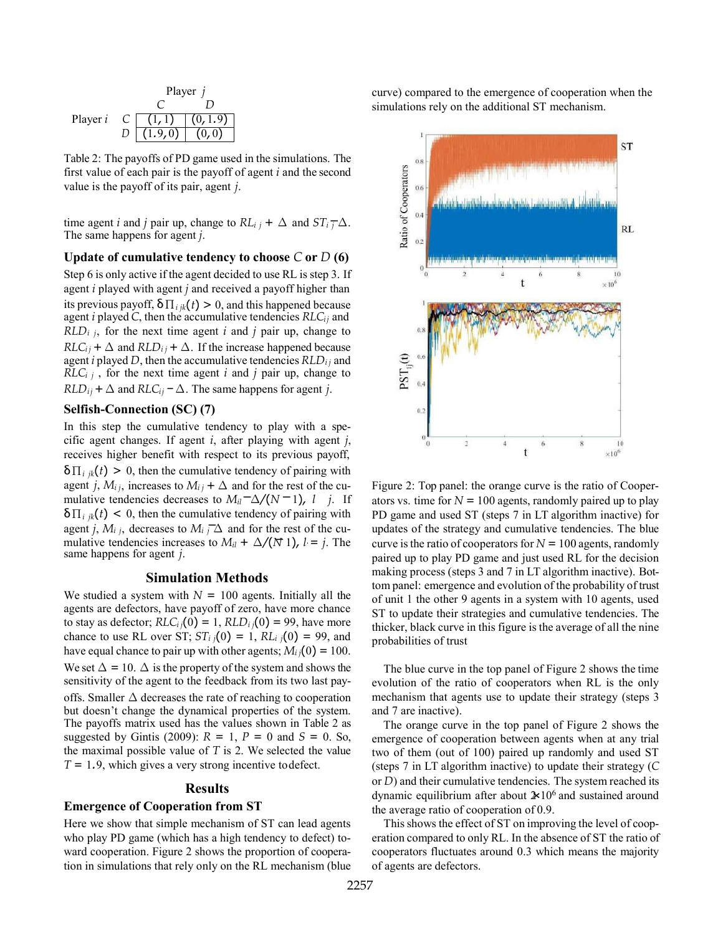Player *i C D* Player *j C D* (1*,*1) (0*,*1*.*9) (1*.*9*,*0) (0*,*0)

Table 2: The payoffs of PD game used in the simulations. The first value of each pair is the payoff of agent *i* and the second value is the payoff of its pair, agent *j*.

 $\frac{d}{dt}$  *t* and *j* pair up, change to  $RL_{i,j} + \Delta$  and  $ST_{i,j} \rightarrow \Delta$ . The same happens for agent *j*.

**Update of cumulative tendency to choose** *C* **or** *D* **(6)**

Step 6 is only active if the agent decided to use RL is step 3. If agent *i* played with agent *j* and received a payoff higher than its previous payoff,  $\delta \prod_{i} f_k(t) > 0$ , and this happened because agent *i* played *C*, then the accumulative tendencies *RLCij* and  $RLD_i$  *j*, for the next time agent *i* and *j* pair up, change to  $RLC_{ij}$  +  $\Delta$  and  $RLD_{ij}$  +  $\Delta$ . If the increase happened because agent *i* played *D*, then the accumulative tendencies  $RLD<sub>i</sub>$  and  $RLC<sub>i j</sub>$ , for the next time agent *i* and *j* pair up, change to  $RLD_{ij}$  +  $\Delta$  and  $RLC_{ij}$  −  $\Delta$ . The same happens for agent *j*.

# **Selfish-Connection (SC) (7)**

mulative tendencies increases to  $M_{il} + \Delta/(\overline{N} \cdot 1)$ ,  $l = j$ . The agent *j*,  $M_i$  *j*, decreases to  $M_i$  *j* ∆ and for the rest of the cu- $\frac{d}{dx}$  *−*  $\frac{d}{dx}$  *−*  $\frac{d}{dx}$  *−*  $\frac{d}{dx}$  *−*  $\frac{d}{dx}$  *−*  $\frac{d}{dx}$  *−*  $\frac{d}{dx}$  *−*  $\frac{d}{dx}$  *−*  $\frac{d}{dx}$  *−*  $\frac{d}{dx}$  *−*  $\frac{d}{dx}$  *−*  $\frac{d}{dx}$  *−*  $\frac{d}{dx}$  *−*  $\frac{d}{dx}$  *−*  $\frac{d}{dx}$  *−*  $\frac{d}{dx}$  In this step the cumulative tendency to play with a specific agent changes. If agent *i*, after playing with agent *j*, receives higher benefit with respect to its previous payoff,  $\delta \prod_{i} f_{ik}(t) > 0$ , then the cumulative tendency of pairing with agent *j*,  $M_{ij}$ , increases to  $M_{ij}$  +  $\Delta$  and for the rest of the cu- $\delta \prod_{i} f_{ik}(t)$  < 0, then the cumulative tendency of pairing with same happens for agent *j*.

#### **Simulation Methods**

We studied a system with  $N = 100$  agents. Initially all the agents are defectors, have payoff of zero, have more chance to stay as defector;  $RLC_{ij}(0) = 1$ ,  $RLD_{ij}(0) = 99$ , have more chance to use RL over ST;  $ST_i$   $_j(0) = 1$ ,  $RL_i$   $_j(0) = 99$ , and have equal chance to pair up with other agents;  $M_{ij}(0) = 100$ . We set  $\Delta = 10$ .  $\Delta$  is the property of the system and shows the sensitivity of the agent to the feedback from its two last payoffs. Smaller ∆ decreases the rate of reaching to cooperation but doesn't change the dynamical properties of the system. The payoffs matrix used has the values shown in Table 2 as suggested by Gintis (2009):  $R = 1$ ,  $P = 0$  and  $S = 0$ . So, the maximal possible value of *T* is 2. We selected the value *T* = 1*.*9, which gives a very strong incentive todefect.

#### **Results**

#### **Emergence of Cooperation from ST**

Here we show that simple mechanism of ST can lead agents who play PD game (which has a high tendency to defect) toward cooperation. Figure 2 shows the proportion of cooperation in simulations that rely only on the RL mechanism (blue curve) compared to the emergence of cooperation when the simulations rely on the additional ST mechanism.



Figure 2: Top panel: the orange curve is the ratio of Cooperators vs. time for  $N = 100$  agents, randomly paired up to play PD game and used ST (steps 7 in LT algorithm inactive) for updates of the strategy and cumulative tendencies. The blue curve is the ratio of cooperators for  $N = 100$  agents, randomly paired up to play PD game and just used RL for the decision making process (steps 3 and 7 in LT algorithm inactive). Bottom panel: emergence and evolution of the probability of trust of unit 1 the other 9 agents in a system with 10 agents, used ST to update their strategies and cumulative tendencies. The thicker, black curve in this figure is the average of all the nine probabilities of trust

The blue curve in the top panel of Figure 2 shows the time evolution of the ratio of cooperators when RL is the only mechanism that agents use to update their strategy (steps 3 and 7 are inactive).

dynamic equilibrium after about  $2 \times 10^6$  and sustained around The orange curve in the top panel of Figure 2 shows the emergence of cooperation between agents when at any trial two of them (out of 100) paired up randomly and used ST (steps 7 in LT algorithm inactive) to update their strategy (*C*  or *D*) and their cumulative tendencies. The system reached its the average ratio of cooperation of 0.9.

This shows the effect of ST on improving the level of cooperation compared to only RL. In the absence of ST the ratio of cooperators fluctuates around 0.3 which means the majority of agents are defectors.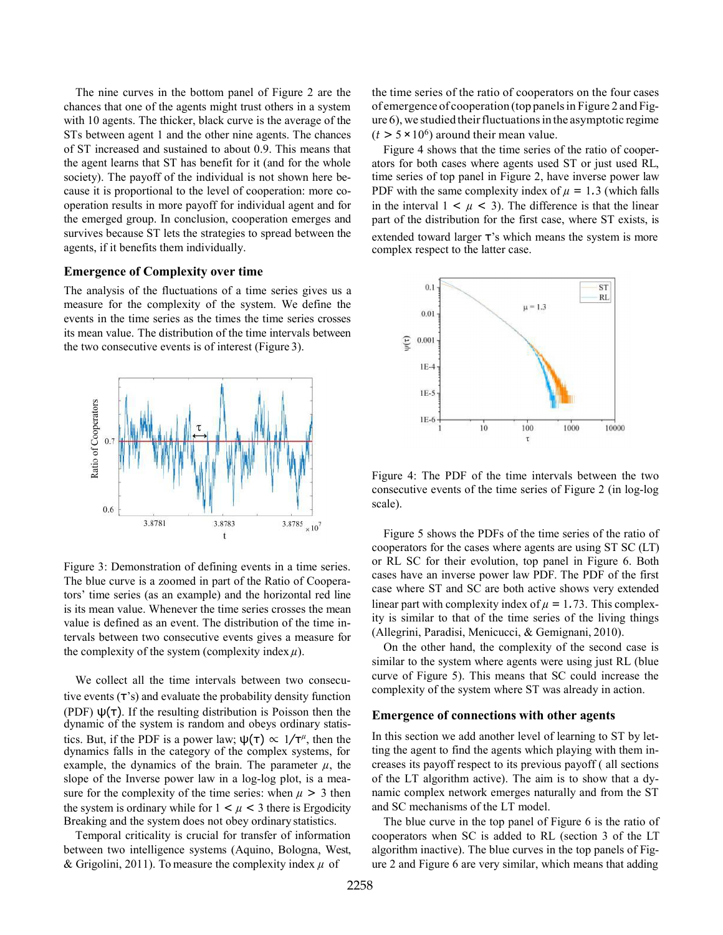The nine curves in the bottom panel of Figure 2 are the chances that one of the agents might trust others in a system with 10 agents. The thicker, black curve is the average of the STs between agent 1 and the other nine agents. The chances of ST increased and sustained to about 0.9. This means that the agent learns that ST has benefit for it (and for the whole society). The payoff of the individual is not shown here because it is proportional to the level of cooperation: more cooperation results in more payoff for individual agent and for the emerged group. In conclusion, cooperation emerges and survives because ST lets the strategies to spread between the agents, if it benefits them individually.

# **Emergence of Complexity over time**

The analysis of the fluctuations of a time series gives us a measure for the complexity of the system. We define the events in the time series as the times the time series crosses its mean value. The distribution of the time intervals between the two consecutive events is of interest (Figure 3).



Figure 3: Demonstration of defining events in a time series. The blue curve is a zoomed in part of the Ratio of Cooperators' time series (as an example) and the horizontal red line is its mean value. Whenever the time series crosses the mean value is defined as an event. The distribution of the time intervals between two consecutive events gives a measure for the complexity of the system (complexity index  $\mu$ ).

We collect all the time intervals between two consecutive events (τ's) and evaluate the probability density function (PDF)  $\psi(\tau)$ . If the resulting distribution is Poisson then the dynamic of the system is random and obeys ordinary statistics. But, if the PDF is a power law;  $\psi(\tau) \propto 1/\tau^{\mu}$ , then the dynamics falls in the category of the complex systems, for example, the dynamics of the brain. The parameter  $\mu$ , the slope of the Inverse power law in a log-log plot, is a measure for the complexity of the time series: when  $\mu > 3$  then the system is ordinary while for  $1 < \mu < 3$  there is Ergodicity Breaking and the system does not obey ordinary statistics.

Temporal criticality is crucial for transfer of information between two intelligence systems (Aquino, Bologna, West, & Grigolini, 2011). To measure the complexity index  $\mu$  of

the time series of the ratio of cooperators on the four cases of emergence of cooperation (top panelsin Figure 2 and Fig $ure 6)$ , we studied their fluctuations in the asymptotic regime  $(t > 5 \times 10^6)$  around their mean value.

Figure 4 shows that the time series of the ratio of cooperators for both cases where agents used ST or just used RL, time series of top panel in Figure 2, have inverse power law PDF with the same complexity index of  $\mu = 1.3$  (which falls in the interval  $1 \lt \mu \lt 3$ ). The difference is that the linear part of the distribution for the first case, where ST exists, is extended toward larger τ's which means the system is more complex respect to the latter case.



Figure 4: The PDF of the time intervals between the two consecutive events of the time series of Figure 2 (in log-log scale).

Figure 5 shows the PDFs of the time series of the ratio of cooperators for the cases where agents are using ST SC (LT) or RL SC for their evolution, top panel in Figure 6. Both cases have an inverse power law PDF. The PDF of the first case where ST and SC are both active shows very extended linear part with complexity index of  $\mu = 1.73$ . This complexity is similar to that of the time series of the living things (Allegrini, Paradisi, Menicucci, & Gemignani, 2010).

On the other hand, the complexity of the second case is similar to the system where agents were using just RL (blue curve of Figure 5). This means that SC could increase the complexity of the system where ST was already in action.

#### **Emergence of connections with other agents**

In this section we add another level of learning to ST by letting the agent to find the agents which playing with them increases its payoff respect to its previous payoff ( all sections of the LT algorithm active). The aim is to show that a dynamic complex network emerges naturally and from the ST and SC mechanisms of the LT model.

The blue curve in the top panel of Figure 6 is the ratio of cooperators when SC is added to RL (section 3 of the LT algorithm inactive). The blue curves in the top panels of Figure 2 and Figure 6 are very similar, which means that adding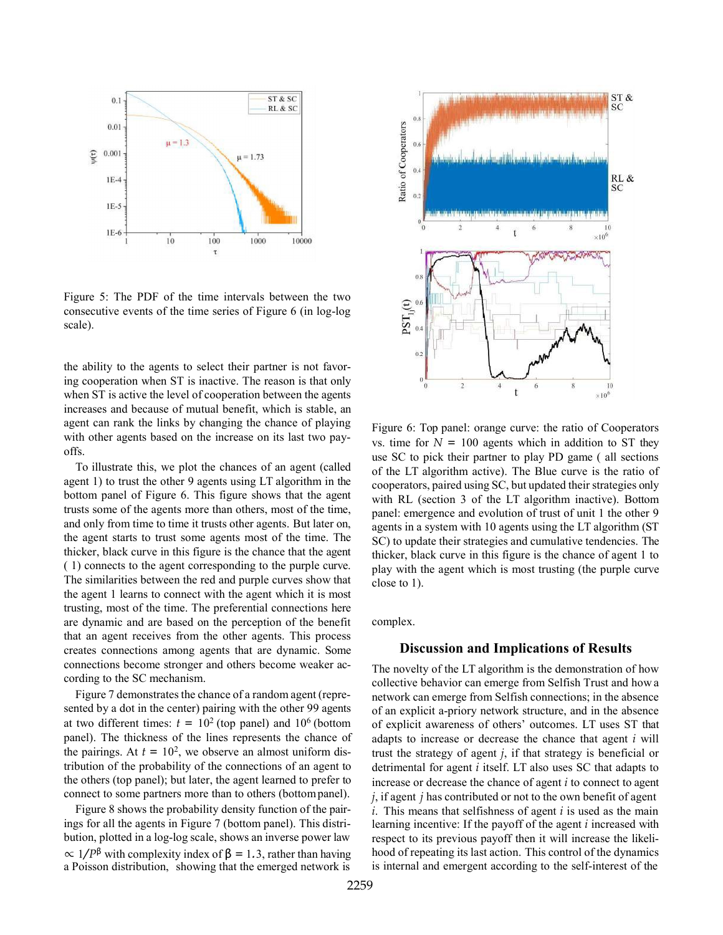

Figure 5: The PDF of the time intervals between the two consecutive events of the time series of Figure 6 (in log-log scale).

the ability to the agents to select their partner is not favoring cooperation when ST is inactive. The reason is that only when ST is active the level of cooperation between the agents increases and because of mutual benefit, which is stable, an agent can rank the links by changing the chance of playing with other agents based on the increase on its last two payoffs.

To illustrate this, we plot the chances of an agent (called agent 1) to trust the other 9 agents using LT algorithm in the bottom panel of Figure 6. This figure shows that the agent trusts some of the agents more than others, most of the time, and only from time to time it trusts other agents. But later on, the agent starts to trust some agents most of the time. The thicker, black curve in this figure is the chance that the agent ( 1) connects to the agent corresponding to the purple curve. The similarities between the red and purple curves show that the agent 1 learns to connect with the agent which it is most trusting, most of the time. The preferential connections here are dynamic and are based on the perception of the benefit that an agent receives from the other agents. This process creates connections among agents that are dynamic. Some connections become stronger and others become weaker according to the SC mechanism.

Figure 7 demonstrates the chance of a random agent (represented by a dot in the center) pairing with the other 99 agents at two different times:  $t = 10^2$  (top panel) and  $10^6$  (bottom panel). The thickness of the lines represents the chance of the pairings. At  $t = 10^2$ , we observe an almost uniform distribution of the probability of the connections of an agent to the others (top panel); but later, the agent learned to prefer to connect to some partners more than to others (bottompanel).

Figure 8 shows the probability density function of the pairings for all the agents in Figure 7 (bottom panel). This distribution, plotted in a log-log scale, shows an inverse power law  $\propto 1/P^{\beta}$  with complexity index of  $\beta = 1.3$ , rather than having a Poisson distribution, showing that the emerged network is



Figure 6: Top panel: orange curve: the ratio of Cooperators vs. time for  $N = 100$  agents which in addition to ST they use SC to pick their partner to play PD game ( all sections of the LT algorithm active). The Blue curve is the ratio of cooperators, paired using SC, but updated their strategies only with RL (section 3 of the LT algorithm inactive). Bottom panel: emergence and evolution of trust of unit 1 the other 9 agents in a system with 10 agents using the LT algorithm (ST SC) to update their strategies and cumulative tendencies. The thicker, black curve in this figure is the chance of agent 1 to play with the agent which is most trusting (the purple curve close to 1).

complex.

# **Discussion and Implications of Results**

The novelty of the LT algorithm is the demonstration of how collective behavior can emerge from Selfish Trust and how a network can emerge from Selfish connections; in the absence of an explicit a-priory network structure, and in the absence of explicit awareness of others' outcomes. LT uses ST that adapts to increase or decrease the chance that agent *i* will trust the strategy of agent *j*, if that strategy is beneficial or detrimental for agent *i* itself. LT also uses SC that adapts to increase or decrease the chance of agent *i* to connect to agent *j*, if agent *j* has contributed or not to the own benefit of agent *i*. This means that selfishness of agent *i* is used as the main learning incentive: If the payoff of the agent *i* increased with respect to its previous payoff then it will increase the likelihood of repeating its last action. This control of the dynamics is internal and emergent according to the self-interest of the